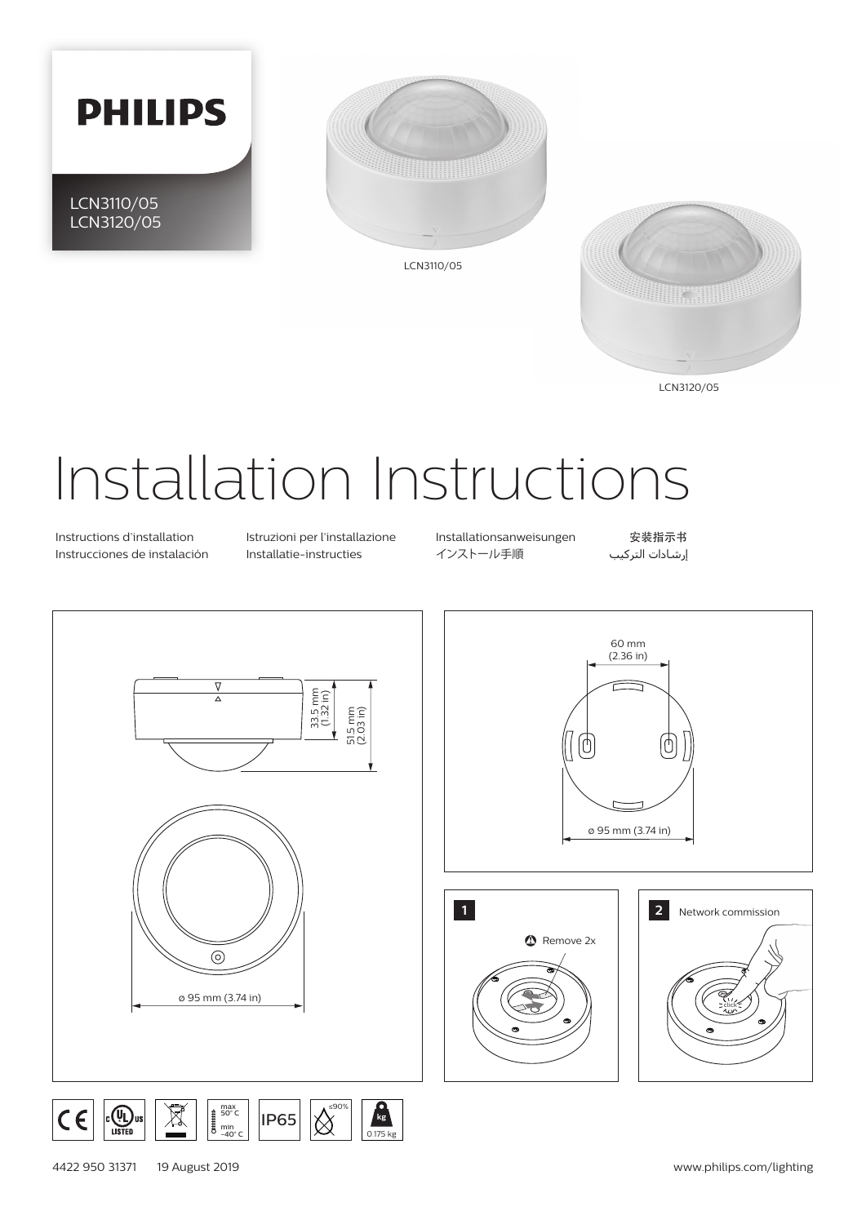



LCN3120/05

# Installation Instructions

Instructions d'installation Istruzioni per l'installazione Installationsanweisungen 安装指示书 Instrucciones de instalación Installatie-instructies インストール手順 التركیب إرشادات